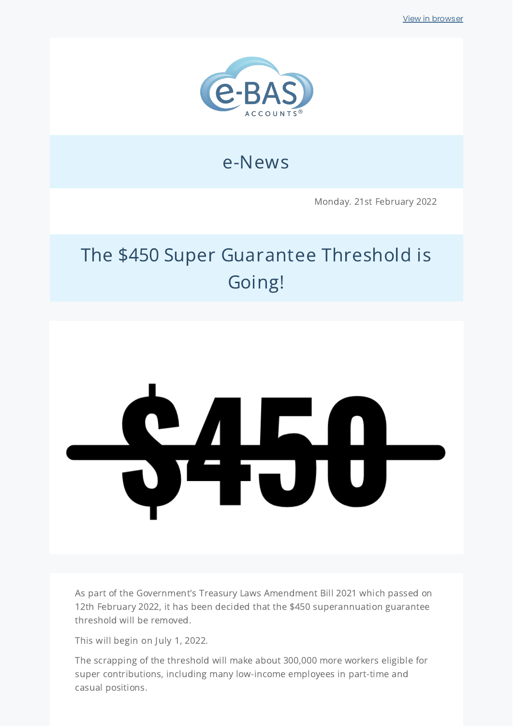

# e-News

Monday. 21st February 2022

# The \$450 Super Guarantee Threshold is Going!

# 8450

As part of the Government's Treasury Laws Amendment Bill 2021 which passed on 12th February 2022, it has been decided that the \$450 superannuation guarantee threshold will be removed.

This will begin on July 1, 2022.

The scrapping of the threshold will make about 300,000 more workers eligible for super contributions, including many low-income employees in part-time and casual positions.